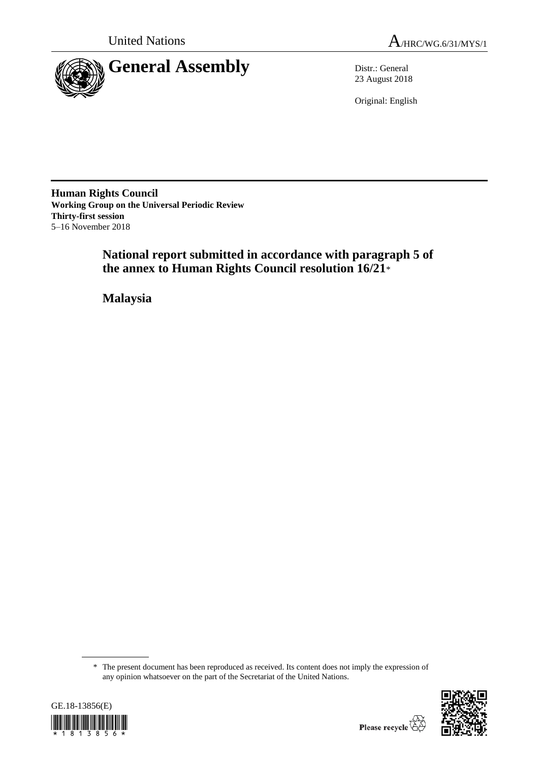



23 August 2018

Original: English

**Human Rights Council Working Group on the Universal Periodic Review Thirty-first session** 5–16 November 2018

> **National report submitted in accordance with paragraph 5 of the annex to Human Rights Council resolution 16/21**\*

**Malaysia**

<sup>\*</sup> The present document has been reproduced as received. Its content does not imply the expression of any opinion whatsoever on the part of the Secretariat of the United Nations.



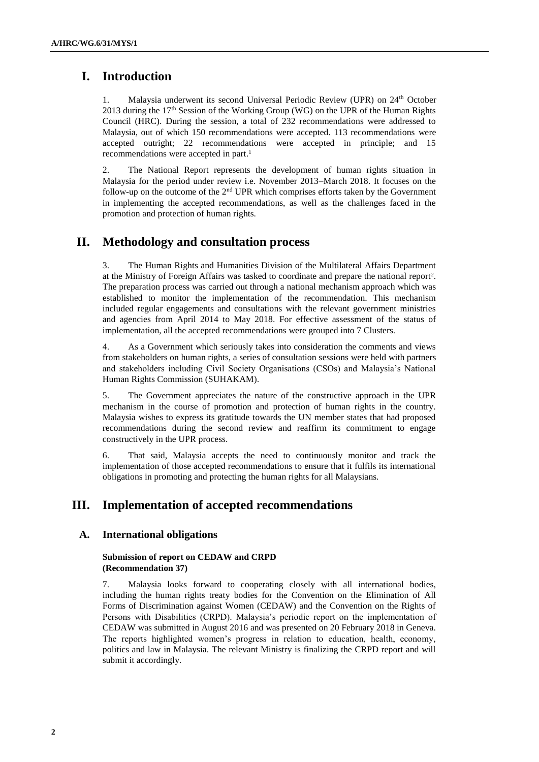# **I. Introduction**

1. Malaysia underwent its second Universal Periodic Review (UPR) on 24th October 2013 during the  $17<sup>th</sup>$  Session of the Working Group (WG) on the UPR of the Human Rights Council (HRC). During the session, a total of 232 recommendations were addressed to Malaysia, out of which 150 recommendations were accepted. 113 recommendations were accepted outright; 22 recommendations were accepted in principle; and 15 recommendations were accepted in part. 1

2. The National Report represents the development of human rights situation in Malaysia for the period under review i.e. November 2013–March 2018. It focuses on the follow-up on the outcome of the  $2<sup>nd</sup>$  UPR which comprises efforts taken by the Government in implementing the accepted recommendations, as well as the challenges faced in the promotion and protection of human rights.

# **II. Methodology and consultation process**

3. The Human Rights and Humanities Division of the Multilateral Affairs Department at the Ministry of Foreign Affairs was tasked to coordinate and prepare the national report<sup>2</sup>. The preparation process was carried out through a national mechanism approach which was established to monitor the implementation of the recommendation. This mechanism included regular engagements and consultations with the relevant government ministries and agencies from April 2014 to May 2018. For effective assessment of the status of implementation, all the accepted recommendations were grouped into 7 Clusters.

4. As a Government which seriously takes into consideration the comments and views from stakeholders on human rights, a series of consultation sessions were held with partners and stakeholders including Civil Society Organisations (CSOs) and Malaysia's National Human Rights Commission (SUHAKAM).

5. The Government appreciates the nature of the constructive approach in the UPR mechanism in the course of promotion and protection of human rights in the country. Malaysia wishes to express its gratitude towards the UN member states that had proposed recommendations during the second review and reaffirm its commitment to engage constructively in the UPR process.

6. That said, Malaysia accepts the need to continuously monitor and track the implementation of those accepted recommendations to ensure that it fulfils its international obligations in promoting and protecting the human rights for all Malaysians.

# **III. Implementation of accepted recommendations**

# **A. International obligations**

## **Submission of report on CEDAW and CRPD (Recommendation 37)**

7. Malaysia looks forward to cooperating closely with all international bodies, including the human rights treaty bodies for the Convention on the Elimination of All Forms of Discrimination against Women (CEDAW) and the Convention on the Rights of Persons with Disabilities (CRPD). Malaysia's periodic report on the implementation of CEDAW was submitted in August 2016 and was presented on 20 February 2018 in Geneva. The reports highlighted women's progress in relation to education, health, economy, politics and law in Malaysia. The relevant Ministry is finalizing the CRPD report and will submit it accordingly.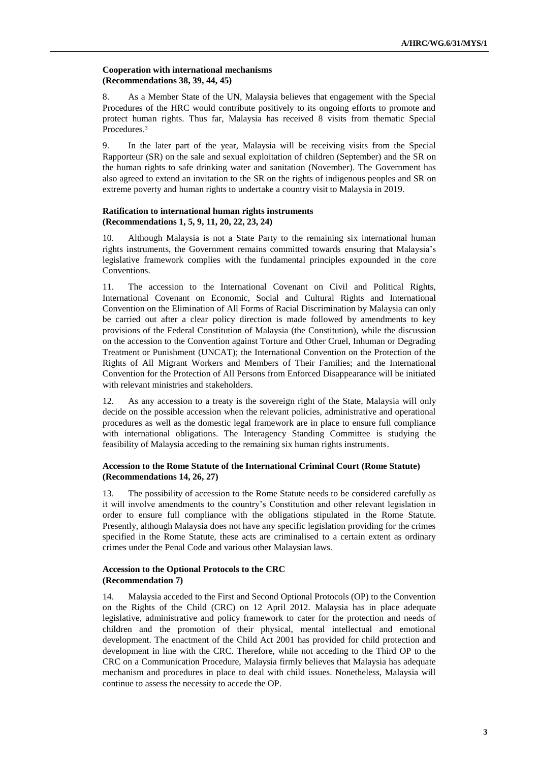# **Cooperation with international mechanisms (Recommendations 38, 39, 44, 45)**

8. As a Member State of the UN, Malaysia believes that engagement with the Special Procedures of the HRC would contribute positively to its ongoing efforts to promote and protect human rights. Thus far, Malaysia has received 8 visits from thematic Special Procedures. 3

9. In the later part of the year, Malaysia will be receiving visits from the Special Rapporteur (SR) on the sale and sexual exploitation of children (September) and the SR on the human rights to safe drinking water and sanitation (November). The Government has also agreed to extend an invitation to the SR on the rights of indigenous peoples and SR on extreme poverty and human rights to undertake a country visit to Malaysia in 2019.

# **Ratification to international human rights instruments (Recommendations 1, 5, 9, 11, 20, 22, 23, 24)**

10. Although Malaysia is not a State Party to the remaining six international human rights instruments, the Government remains committed towards ensuring that Malaysia's legislative framework complies with the fundamental principles expounded in the core Conventions.

11. The accession to the International Covenant on Civil and Political Rights, International Covenant on Economic, Social and Cultural Rights and International Convention on the Elimination of All Forms of Racial Discrimination by Malaysia can only be carried out after a clear policy direction is made followed by amendments to key provisions of the Federal Constitution of Malaysia (the Constitution), while the discussion on the accession to the Convention against Torture and Other Cruel, Inhuman or Degrading Treatment or Punishment (UNCAT); the International Convention on the Protection of the Rights of All Migrant Workers and Members of Their Families; and the International Convention for the Protection of All Persons from Enforced Disappearance will be initiated with relevant ministries and stakeholders.

12. As any accession to a treaty is the sovereign right of the State, Malaysia will only decide on the possible accession when the relevant policies, administrative and operational procedures as well as the domestic legal framework are in place to ensure full compliance with international obligations. The Interagency Standing Committee is studying the feasibility of Malaysia acceding to the remaining six human rights instruments.

# **Accession to the Rome Statute of the International Criminal Court (Rome Statute) (Recommendations 14, 26, 27)**

13. The possibility of accession to the Rome Statute needs to be considered carefully as it will involve amendments to the country's Constitution and other relevant legislation in order to ensure full compliance with the obligations stipulated in the Rome Statute. Presently, although Malaysia does not have any specific legislation providing for the crimes specified in the Rome Statute, these acts are criminalised to a certain extent as ordinary crimes under the Penal Code and various other Malaysian laws.

# **Accession to the Optional Protocols to the CRC (Recommendation 7)**

14. Malaysia acceded to the First and Second Optional Protocols (OP) to the Convention on the Rights of the Child (CRC) on 12 April 2012. Malaysia has in place adequate legislative, administrative and policy framework to cater for the protection and needs of children and the promotion of their physical, mental intellectual and emotional development. The enactment of the Child Act 2001 has provided for child protection and development in line with the CRC. Therefore, while not acceding to the Third OP to the CRC on a Communication Procedure, Malaysia firmly believes that Malaysia has adequate mechanism and procedures in place to deal with child issues. Nonetheless, Malaysia will continue to assess the necessity to accede the OP.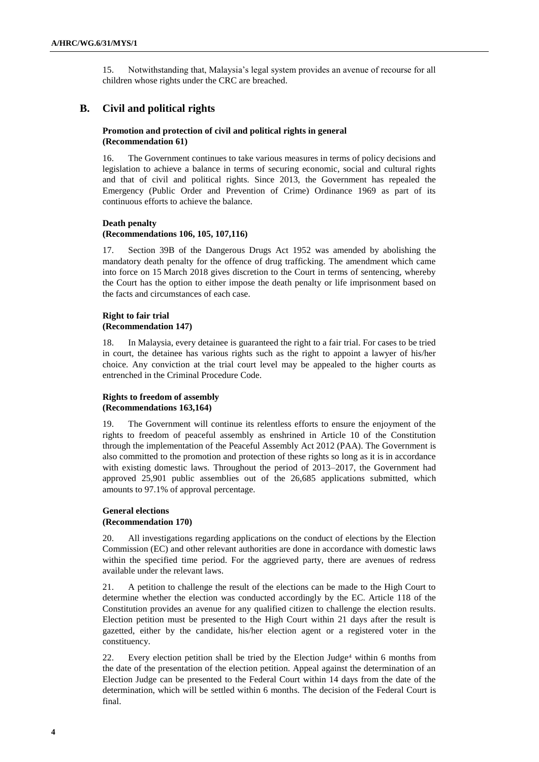15. Notwithstanding that, Malaysia's legal system provides an avenue of recourse for all children whose rights under the CRC are breached.

# **B. Civil and political rights**

# **Promotion and protection of civil and political rights in general (Recommendation 61)**

16. The Government continues to take various measures in terms of policy decisions and legislation to achieve a balance in terms of securing economic, social and cultural rights and that of civil and political rights. Since 2013, the Government has repealed the Emergency (Public Order and Prevention of Crime) Ordinance 1969 as part of its continuous efforts to achieve the balance.

# **Death penalty**

# **(Recommendations 106, 105, 107,116)**

17. Section 39B of the Dangerous Drugs Act 1952 was amended by abolishing the mandatory death penalty for the offence of drug trafficking. The amendment which came into force on 15 March 2018 gives discretion to the Court in terms of sentencing, whereby the Court has the option to either impose the death penalty or life imprisonment based on the facts and circumstances of each case.

# **Right to fair trial (Recommendation 147)**

18. In Malaysia, every detainee is guaranteed the right to a fair trial. For cases to be tried in court, the detainee has various rights such as the right to appoint a lawyer of his/her choice. Any conviction at the trial court level may be appealed to the higher courts as entrenched in the Criminal Procedure Code.

## **Rights to freedom of assembly (Recommendations 163,164)**

19. The Government will continue its relentless efforts to ensure the enjoyment of the rights to freedom of peaceful assembly as enshrined in Article 10 of the Constitution through the implementation of the Peaceful Assembly Act 2012 (PAA). The Government is also committed to the promotion and protection of these rights so long as it is in accordance with existing domestic laws. Throughout the period of 2013–2017, the Government had approved 25,901 public assemblies out of the 26,685 applications submitted, which amounts to 97.1% of approval percentage.

### **General elections (Recommendation 170)**

20. All investigations regarding applications on the conduct of elections by the Election Commission (EC) and other relevant authorities are done in accordance with domestic laws within the specified time period. For the aggrieved party, there are avenues of redress available under the relevant laws.

21. A petition to challenge the result of the elections can be made to the High Court to determine whether the election was conducted accordingly by the EC. Article 118 of the Constitution provides an avenue for any qualified citizen to challenge the election results. Election petition must be presented to the High Court within 21 days after the result is gazetted, either by the candidate, his/her election agent or a registered voter in the constituency.

22. Every election petition shall be tried by the Election Judge<sup>4</sup> within 6 months from the date of the presentation of the election petition. Appeal against the determination of an Election Judge can be presented to the Federal Court within 14 days from the date of the determination, which will be settled within 6 months. The decision of the Federal Court is final.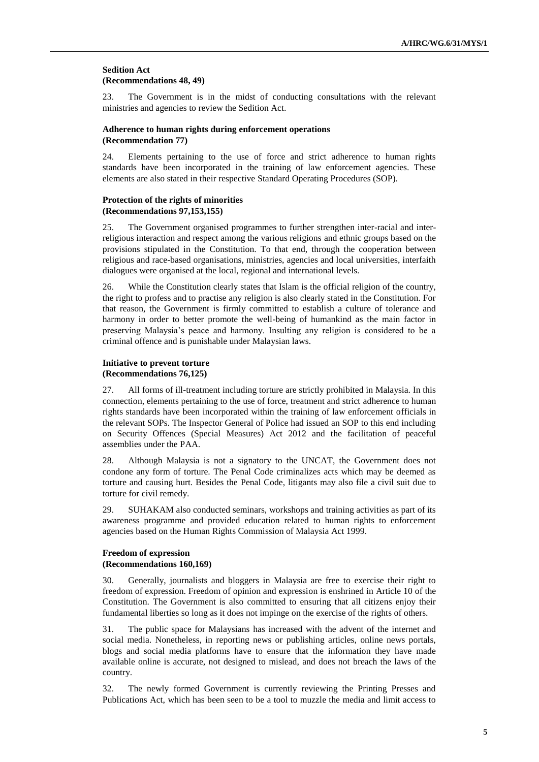### **Sedition Act (Recommendations 48, 49)**

23. The Government is in the midst of conducting consultations with the relevant ministries and agencies to review the Sedition Act.

#### **Adherence to human rights during enforcement operations (Recommendation 77)**

24. Elements pertaining to the use of force and strict adherence to human rights standards have been incorporated in the training of law enforcement agencies. These elements are also stated in their respective Standard Operating Procedures (SOP).

### **Protection of the rights of minorities (Recommendations 97,153,155)**

25. The Government organised programmes to further strengthen inter-racial and interreligious interaction and respect among the various religions and ethnic groups based on the provisions stipulated in the Constitution. To that end, through the cooperation between religious and race-based organisations, ministries, agencies and local universities, interfaith dialogues were organised at the local, regional and international levels.

26. While the Constitution clearly states that Islam is the official religion of the country, the right to profess and to practise any religion is also clearly stated in the Constitution. For that reason, the Government is firmly committed to establish a culture of tolerance and harmony in order to better promote the well-being of humankind as the main factor in preserving Malaysia's peace and harmony. Insulting any religion is considered to be a criminal offence and is punishable under Malaysian laws.

# **Initiative to prevent torture (Recommendations 76,125)**

27. All forms of ill-treatment including torture are strictly prohibited in Malaysia. In this connection, elements pertaining to the use of force, treatment and strict adherence to human rights standards have been incorporated within the training of law enforcement officials in the relevant SOPs. The Inspector General of Police had issued an SOP to this end including on Security Offences (Special Measures) Act 2012 and the facilitation of peaceful assemblies under the PAA.

28. Although Malaysia is not a signatory to the UNCAT, the Government does not condone any form of torture. The Penal Code criminalizes acts which may be deemed as torture and causing hurt. Besides the Penal Code, litigants may also file a civil suit due to torture for civil remedy.

29. SUHAKAM also conducted seminars, workshops and training activities as part of its awareness programme and provided education related to human rights to enforcement agencies based on the Human Rights Commission of Malaysia Act 1999.

# **Freedom of expression (Recommendations 160,169)**

30. Generally, journalists and bloggers in Malaysia are free to exercise their right to freedom of expression. Freedom of opinion and expression is enshrined in Article 10 of the Constitution. The Government is also committed to ensuring that all citizens enjoy their fundamental liberties so long as it does not impinge on the exercise of the rights of others.

31. The public space for Malaysians has increased with the advent of the internet and social media. Nonetheless, in reporting news or publishing articles, online news portals, blogs and social media platforms have to ensure that the information they have made available online is accurate, not designed to mislead, and does not breach the laws of the country.

32. The newly formed Government is currently reviewing the Printing Presses and Publications Act, which has been seen to be a tool to muzzle the media and limit access to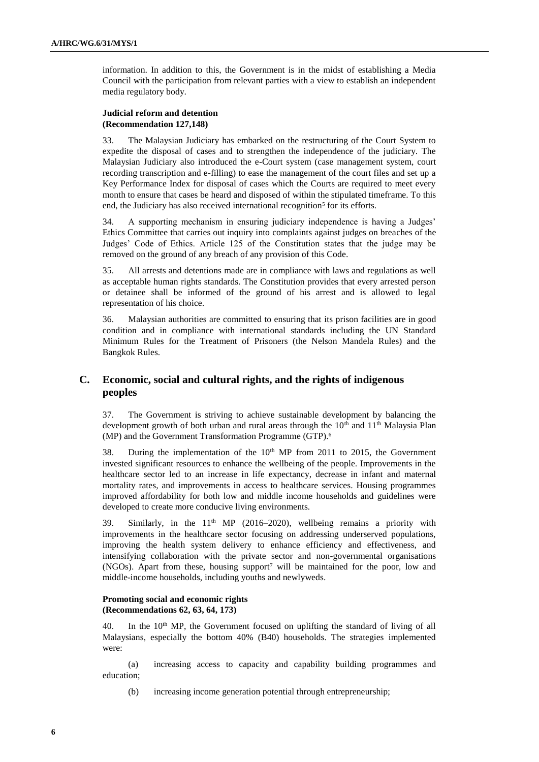information. In addition to this, the Government is in the midst of establishing a Media Council with the participation from relevant parties with a view to establish an independent media regulatory body.

## **Judicial reform and detention (Recommendation 127,148)**

33. The Malaysian Judiciary has embarked on the restructuring of the Court System to expedite the disposal of cases and to strengthen the independence of the judiciary. The Malaysian Judiciary also introduced the e-Court system (case management system, court recording transcription and e-filling) to ease the management of the court files and set up a Key Performance Index for disposal of cases which the Courts are required to meet every month to ensure that cases be heard and disposed of within the stipulated timeframe. To this end, the Judiciary has also received international recognition<sup>5</sup> for its efforts.

34. A supporting mechanism in ensuring judiciary independence is having a Judges' Ethics Committee that carries out inquiry into complaints against judges on breaches of the Judges' Code of Ethics. Article 125 of the Constitution states that the judge may be removed on the ground of any breach of any provision of this Code.

35. All arrests and detentions made are in compliance with laws and regulations as well as acceptable human rights standards. The Constitution provides that every arrested person or detainee shall be informed of the ground of his arrest and is allowed to legal representation of his choice.

36. Malaysian authorities are committed to ensuring that its prison facilities are in good condition and in compliance with international standards including the UN Standard Minimum Rules for the Treatment of Prisoners (the Nelson Mandela Rules) and the Bangkok Rules.

# **C. Economic, social and cultural rights, and the rights of indigenous peoples**

37. The Government is striving to achieve sustainable development by balancing the development growth of both urban and rural areas through the  $10<sup>th</sup>$  and  $11<sup>th</sup>$  Malaysia Plan (MP) and the Government Transformation Programme (GTP). 6

38. During the implementation of the  $10<sup>th</sup>$  MP from 2011 to 2015, the Government invested significant resources to enhance the wellbeing of the people. Improvements in the healthcare sector led to an increase in life expectancy, decrease in infant and maternal mortality rates, and improvements in access to healthcare services. Housing programmes improved affordability for both low and middle income households and guidelines were developed to create more conducive living environments.

39. Similarly, in the  $11<sup>th</sup>$  MP (2016–2020), wellbeing remains a priority with improvements in the healthcare sector focusing on addressing underserved populations, improving the health system delivery to enhance efficiency and effectiveness, and intensifying collaboration with the private sector and non-governmental organisations (NGOs). Apart from these, housing support<sup>7</sup> will be maintained for the poor, low and middle-income households, including youths and newlyweds.

# **Promoting social and economic rights (Recommendations 62, 63, 64, 173)**

40. In the 10<sup>th</sup> MP, the Government focused on uplifting the standard of living of all Malaysians, especially the bottom 40% (B40) households. The strategies implemented were:

(a) increasing access to capacity and capability building programmes and education;

(b) increasing income generation potential through entrepreneurship;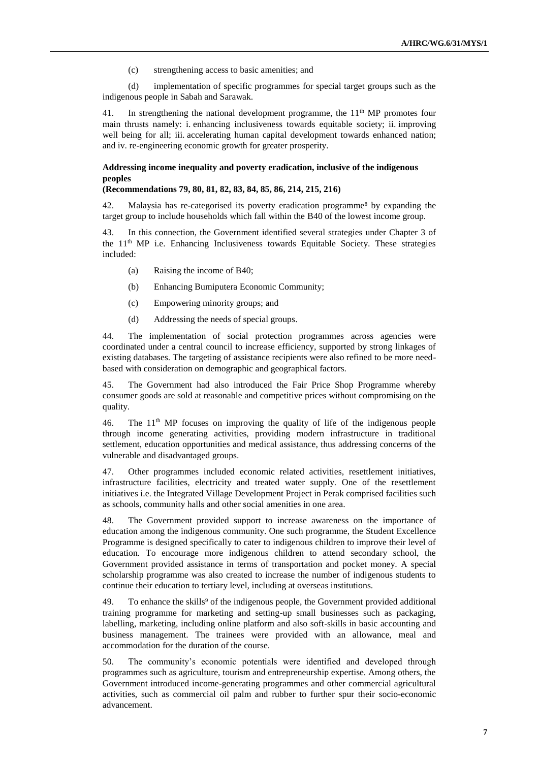(c) strengthening access to basic amenities; and

(d) implementation of specific programmes for special target groups such as the indigenous people in Sabah and Sarawak.

41. In strengthening the national development programme, the  $11<sup>th</sup> MP$  promotes four main thrusts namely: i. enhancing inclusiveness towards equitable society; ii. improving well being for all; iii. accelerating human capital development towards enhanced nation; and iv. re-engineering economic growth for greater prosperity.

# **Addressing income inequality and poverty eradication, inclusive of the indigenous peoples**

#### **(Recommendations 79, 80, 81, 82, 83, 84, 85, 86, 214, 215, 216)**

42. Malaysia has re-categorised its poverty eradication programme<sup>8</sup> by expanding the target group to include households which fall within the B40 of the lowest income group.

43. In this connection, the Government identified several strategies under Chapter 3 of the 11<sup>th</sup> MP i.e. Enhancing Inclusiveness towards Equitable Society. These strategies included:

- (a) Raising the income of B40;
- (b) Enhancing Bumiputera Economic Community;
- (c) Empowering minority groups; and
- (d) Addressing the needs of special groups.

44. The implementation of social protection programmes across agencies were coordinated under a central council to increase efficiency, supported by strong linkages of existing databases. The targeting of assistance recipients were also refined to be more needbased with consideration on demographic and geographical factors.

45. The Government had also introduced the Fair Price Shop Programme whereby consumer goods are sold at reasonable and competitive prices without compromising on the quality.

46. The 11th MP focuses on improving the quality of life of the indigenous people through income generating activities, providing modern infrastructure in traditional settlement, education opportunities and medical assistance, thus addressing concerns of the vulnerable and disadvantaged groups.

47. Other programmes included economic related activities, resettlement initiatives, infrastructure facilities, electricity and treated water supply. One of the resettlement initiatives i.e. the Integrated Village Development Project in Perak comprised facilities such as schools, community halls and other social amenities in one area.

48. The Government provided support to increase awareness on the importance of education among the indigenous community. One such programme, the Student Excellence Programme is designed specifically to cater to indigenous children to improve their level of education. To encourage more indigenous children to attend secondary school, the Government provided assistance in terms of transportation and pocket money. A special scholarship programme was also created to increase the number of indigenous students to continue their education to tertiary level, including at overseas institutions.

49. To enhance the skills<sup>9</sup> of the indigenous people, the Government provided additional training programme for marketing and setting-up small businesses such as packaging, labelling, marketing, including online platform and also soft-skills in basic accounting and business management. The trainees were provided with an allowance, meal and accommodation for the duration of the course.

50. The community's economic potentials were identified and developed through programmes such as agriculture, tourism and entrepreneurship expertise. Among others, the Government introduced income-generating programmes and other commercial agricultural activities, such as commercial oil palm and rubber to further spur their socio-economic advancement.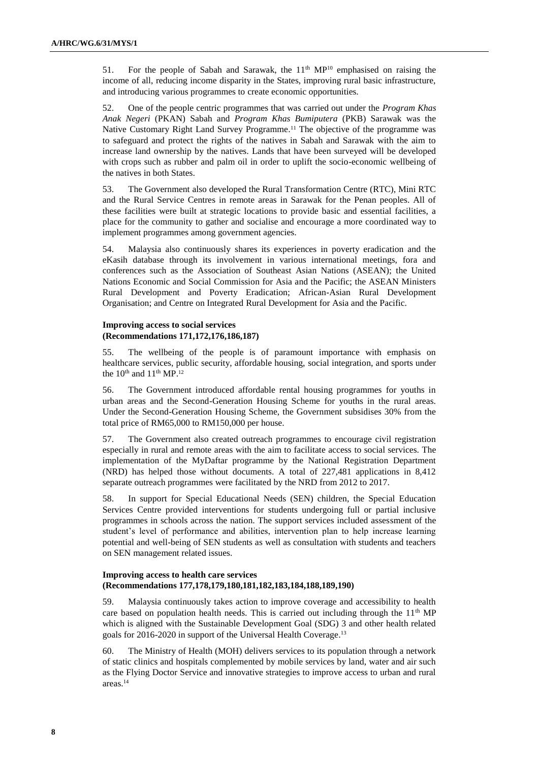51. For the people of Sabah and Sarawak, the  $11<sup>th</sup> MP<sup>10</sup>$  emphasised on raising the income of all, reducing income disparity in the States, improving rural basic infrastructure, and introducing various programmes to create economic opportunities.

52. One of the people centric programmes that was carried out under the *Program Khas Anak Negeri* (PKAN) Sabah and *Program Khas Bumiputera* (PKB) Sarawak was the Native Customary Right Land Survey Programme. <sup>11</sup> The objective of the programme was to safeguard and protect the rights of the natives in Sabah and Sarawak with the aim to increase land ownership by the natives. Lands that have been surveyed will be developed with crops such as rubber and palm oil in order to uplift the socio-economic wellbeing of the natives in both States.

53. The Government also developed the Rural Transformation Centre (RTC), Mini RTC and the Rural Service Centres in remote areas in Sarawak for the Penan peoples. All of these facilities were built at strategic locations to provide basic and essential facilities, a place for the community to gather and socialise and encourage a more coordinated way to implement programmes among government agencies.

54. Malaysia also continuously shares its experiences in poverty eradication and the eKasih database through its involvement in various international meetings, fora and conferences such as the Association of Southeast Asian Nations (ASEAN); the United Nations Economic and Social Commission for Asia and the Pacific; the ASEAN Ministers Rural Development and Poverty Eradication; African-Asian Rural Development Organisation; and Centre on Integrated Rural Development for Asia and the Pacific.

# **Improving access to social services (Recommendations 171,172,176,186,187)**

55. The wellbeing of the people is of paramount importance with emphasis on healthcare services, public security, affordable housing, social integration, and sports under the  $10^{th}$  and  $11^{th}$  MP.<sup>12</sup>

56. The Government introduced affordable rental housing programmes for youths in urban areas and the Second-Generation Housing Scheme for youths in the rural areas. Under the Second-Generation Housing Scheme, the Government subsidises 30% from the total price of RM65,000 to RM150,000 per house.

57. The Government also created outreach programmes to encourage civil registration especially in rural and remote areas with the aim to facilitate access to social services. The implementation of the MyDaftar programme by the National Registration Department (NRD) has helped those without documents. A total of 227,481 applications in 8,412 separate outreach programmes were facilitated by the NRD from 2012 to 2017.

58. In support for Special Educational Needs (SEN) children, the Special Education Services Centre provided interventions for students undergoing full or partial inclusive programmes in schools across the nation. The support services included assessment of the student's level of performance and abilities, intervention plan to help increase learning potential and well-being of SEN students as well as consultation with students and teachers on SEN management related issues.

# **Improving access to health care services (Recommendations 177,178,179,180,181,182,183,184,188,189,190)**

59. Malaysia continuously takes action to improve coverage and accessibility to health care based on population health needs. This is carried out including through the  $11<sup>th</sup> MP$ which is aligned with the Sustainable Development Goal (SDG) 3 and other health related goals for 2016-2020 in support of the Universal Health Coverage. 13

60. The Ministry of Health (MOH) delivers services to its population through a network of static clinics and hospitals complemented by mobile services by land, water and air such as the Flying Doctor Service and innovative strategies to improve access to urban and rural areas. 14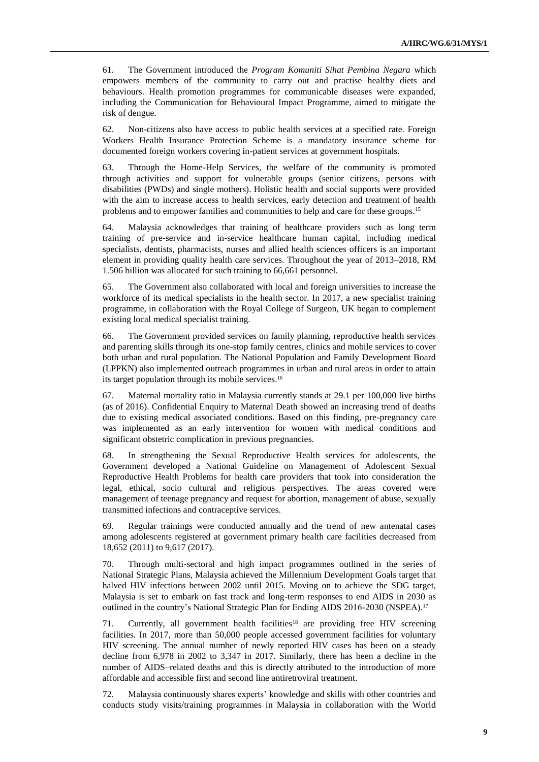61. The Government introduced the *Program Komuniti Sihat Pembina Negara* which empowers members of the community to carry out and practise healthy diets and behaviours. Health promotion programmes for communicable diseases were expanded, including the Communication for Behavioural Impact Programme, aimed to mitigate the risk of dengue.

62. Non-citizens also have access to public health services at a specified rate. Foreign Workers Health Insurance Protection Scheme is a mandatory insurance scheme for documented foreign workers covering in-patient services at government hospitals.

63. Through the Home-Help Services, the welfare of the community is promoted through activities and support for vulnerable groups (senior citizens, persons with disabilities (PWDs) and single mothers). Holistic health and social supports were provided with the aim to increase access to health services, early detection and treatment of health problems and to empower families and communities to help and care for these groups. 15

64. Malaysia acknowledges that training of healthcare providers such as long term training of pre-service and in-service healthcare human capital, including medical specialists, dentists, pharmacists, nurses and allied health sciences officers is an important element in providing quality health care services. Throughout the year of 2013–2018, RM 1.506 billion was allocated for such training to 66,661 personnel.

65. The Government also collaborated with local and foreign universities to increase the workforce of its medical specialists in the health sector. In 2017, a new specialist training programme, in collaboration with the Royal College of Surgeon, UK began to complement existing local medical specialist training.

66. The Government provided services on family planning, reproductive health services and parenting skills through its one-stop family centres, clinics and mobile services to cover both urban and rural population. The National Population and Family Development Board (LPPKN) also implemented outreach programmes in urban and rural areas in order to attain its target population through its mobile services. 16

67. Maternal mortality ratio in Malaysia currently stands at 29.1 per 100,000 live births (as of 2016). Confidential Enquiry to Maternal Death showed an increasing trend of deaths due to existing medical associated conditions. Based on this finding, pre-pregnancy care was implemented as an early intervention for women with medical conditions and significant obstetric complication in previous pregnancies.

68. In strengthening the Sexual Reproductive Health services for adolescents, the Government developed a National Guideline on Management of Adolescent Sexual Reproductive Health Problems for health care providers that took into consideration the legal, ethical, socio cultural and religious perspectives. The areas covered were management of teenage pregnancy and request for abortion, management of abuse, sexually transmitted infections and contraceptive services.

69. Regular trainings were conducted annually and the trend of new antenatal cases among adolescents registered at government primary health care facilities decreased from 18,652 (2011) to 9,617 (2017).

70. Through multi-sectoral and high impact programmes outlined in the series of National Strategic Plans, Malaysia achieved the Millennium Development Goals target that halved HIV infections between 2002 until 2015. Moving on to achieve the SDG target, Malaysia is set to embark on fast track and long-term responses to end AIDS in 2030 as outlined in the country's National Strategic Plan for Ending AIDS 2016-2030 (NSPEA).<sup>17</sup>

71. Currently, all government health facilities<sup>18</sup> are providing free HIV screening facilities. In 2017, more than 50,000 people accessed government facilities for voluntary HIV screening. The annual number of newly reported HIV cases has been on a steady decline from 6,978 in 2002 to 3,347 in 2017. Similarly, there has been a decline in the number of AIDS–related deaths and this is directly attributed to the introduction of more affordable and accessible first and second line antiretroviral treatment.

72. Malaysia continuously shares experts' knowledge and skills with other countries and conducts study visits/training programmes in Malaysia in collaboration with the World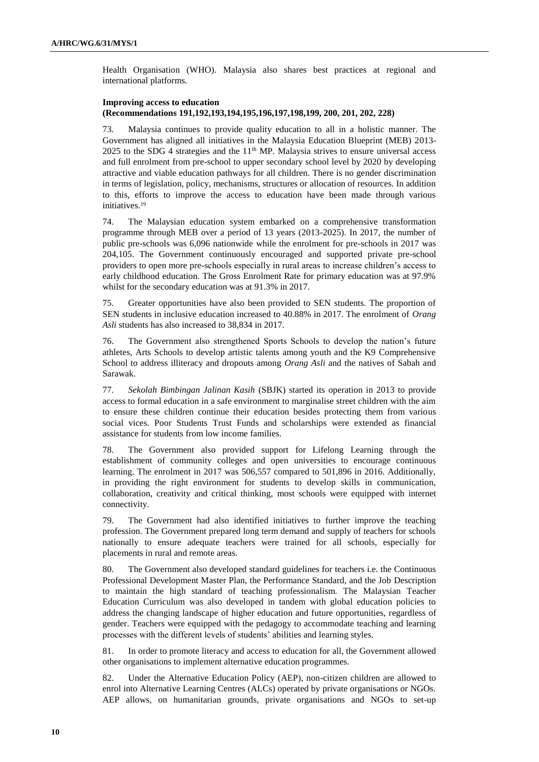Health Organisation (WHO). Malaysia also shares best practices at regional and international platforms.

## **Improving access to education (Recommendations 191,192,193,194,195,196,197,198,199, 200, 201, 202, 228)**

73. Malaysia continues to provide quality education to all in a holistic manner. The Government has aligned all initiatives in the Malaysia Education Blueprint (MEB) 2013-  $2025$  to the SDG 4 strategies and the  $11<sup>th</sup>$  MP. Malaysia strives to ensure universal access and full enrolment from pre-school to upper secondary school level by 2020 by developing attractive and viable education pathways for all children. There is no gender discrimination in terms of legislation, policy, mechanisms, structures or allocation of resources. In addition to this, efforts to improve the access to education have been made through various initiatives. 19

74. The Malaysian education system embarked on a comprehensive transformation programme through MEB over a period of 13 years (2013-2025). In 2017, the number of public pre-schools was 6,096 nationwide while the enrolment for pre-schools in 2017 was 204,105. The Government continuously encouraged and supported private pre-school providers to open more pre-schools especially in rural areas to increase children's access to early childhood education. The Gross Enrolment Rate for primary education was at 97.9% whilst for the secondary education was at 91.3% in 2017.

75. Greater opportunities have also been provided to SEN students. The proportion of SEN students in inclusive education increased to 40.88% in 2017. The enrolment of *Orang Asli* students has also increased to 38,834 in 2017.

76. The Government also strengthened Sports Schools to develop the nation's future athletes, Arts Schools to develop artistic talents among youth and the K9 Comprehensive School to address illiteracy and dropouts among *Orang Asli* and the natives of Sabah and Sarawak.

77. *Sekolah Bimbingan Jalinan Kasih* (SBJK) started its operation in 2013 to provide access to formal education in a safe environment to marginalise street children with the aim to ensure these children continue their education besides protecting them from various social vices. Poor Students Trust Funds and scholarships were extended as financial assistance for students from low income families.

78. The Government also provided support for Lifelong Learning through the establishment of community colleges and open universities to encourage continuous learning. The enrolment in 2017 was 506,557 compared to 501,896 in 2016. Additionally, in providing the right environment for students to develop skills in communication, collaboration, creativity and critical thinking, most schools were equipped with internet connectivity.

79. The Government had also identified initiatives to further improve the teaching profession. The Government prepared long term demand and supply of teachers for schools nationally to ensure adequate teachers were trained for all schools, especially for placements in rural and remote areas.

80. The Government also developed standard guidelines for teachers i.e. the Continuous Professional Development Master Plan, the Performance Standard, and the Job Description to maintain the high standard of teaching professionalism. The Malaysian Teacher Education Curriculum was also developed in tandem with global education policies to address the changing landscape of higher education and future opportunities, regardless of gender. Teachers were equipped with the pedagogy to accommodate teaching and learning processes with the different levels of students' abilities and learning styles.

81. In order to promote literacy and access to education for all, the Government allowed other organisations to implement alternative education programmes.

82. Under the Alternative Education Policy (AEP), non-citizen children are allowed to enrol into Alternative Learning Centres (ALCs) operated by private organisations or NGOs. AEP allows, on humanitarian grounds, private organisations and NGOs to set-up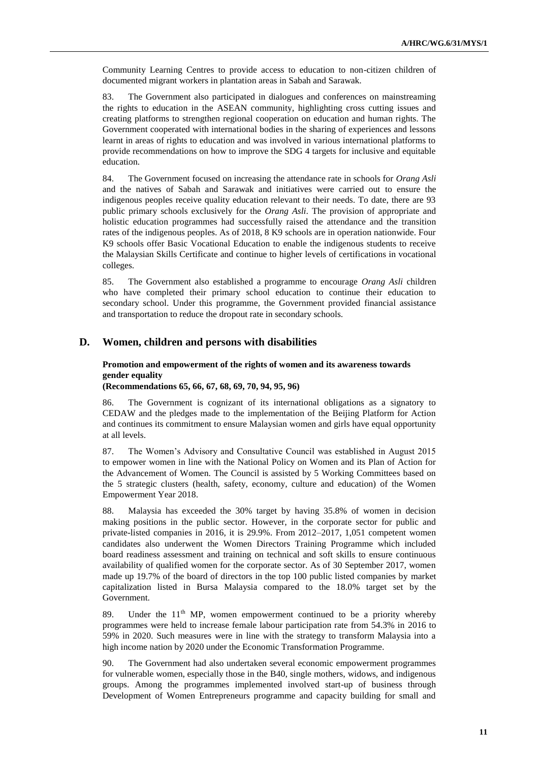Community Learning Centres to provide access to education to non-citizen children of documented migrant workers in plantation areas in Sabah and Sarawak.

83. The Government also participated in dialogues and conferences on mainstreaming the rights to education in the ASEAN community, highlighting cross cutting issues and creating platforms to strengthen regional cooperation on education and human rights. The Government cooperated with international bodies in the sharing of experiences and lessons learnt in areas of rights to education and was involved in various international platforms to provide recommendations on how to improve the SDG 4 targets for inclusive and equitable education.

84. The Government focused on increasing the attendance rate in schools for *Orang Asli* and the natives of Sabah and Sarawak and initiatives were carried out to ensure the indigenous peoples receive quality education relevant to their needs. To date, there are 93 public primary schools exclusively for the *Orang Asli*. The provision of appropriate and holistic education programmes had successfully raised the attendance and the transition rates of the indigenous peoples. As of 2018, 8 K9 schools are in operation nationwide. Four K9 schools offer Basic Vocational Education to enable the indigenous students to receive the Malaysian Skills Certificate and continue to higher levels of certifications in vocational colleges.

85. The Government also established a programme to encourage *Orang Asli* children who have completed their primary school education to continue their education to secondary school. Under this programme, the Government provided financial assistance and transportation to reduce the dropout rate in secondary schools.

# **D. Women, children and persons with disabilities**

# **Promotion and empowerment of the rights of women and its awareness towards gender equality**

**(Recommendations 65, 66, 67, 68, 69, 70, 94, 95, 96)** 

86. The Government is cognizant of its international obligations as a signatory to CEDAW and the pledges made to the implementation of the Beijing Platform for Action and continues its commitment to ensure Malaysian women and girls have equal opportunity at all levels.

87. The Women's Advisory and Consultative Council was established in August 2015 to empower women in line with the National Policy on Women and its Plan of Action for the Advancement of Women. The Council is assisted by 5 Working Committees based on the 5 strategic clusters (health, safety, economy, culture and education) of the Women Empowerment Year 2018.

88. Malaysia has exceeded the 30% target by having 35.8% of women in decision making positions in the public sector. However, in the corporate sector for public and private-listed companies in 2016, it is 29.9%. From 2012–2017, 1,051 competent women candidates also underwent the Women Directors Training Programme which included board readiness assessment and training on technical and soft skills to ensure continuous availability of qualified women for the corporate sector. As of 30 September 2017, women made up 19.7% of the board of directors in the top 100 public listed companies by market capitalization listed in Bursa Malaysia compared to the 18.0% target set by the Government.

89. Under the  $11<sup>th</sup> MP$ , women empowerment continued to be a priority whereby programmes were held to increase female labour participation rate from 54.3% in 2016 to 59% in 2020. Such measures were in line with the strategy to transform Malaysia into a high income nation by 2020 under the Economic Transformation Programme.

90. The Government had also undertaken several economic empowerment programmes for vulnerable women, especially those in the B40, single mothers, widows, and indigenous groups. Among the programmes implemented involved start-up of business through Development of Women Entrepreneurs programme and capacity building for small and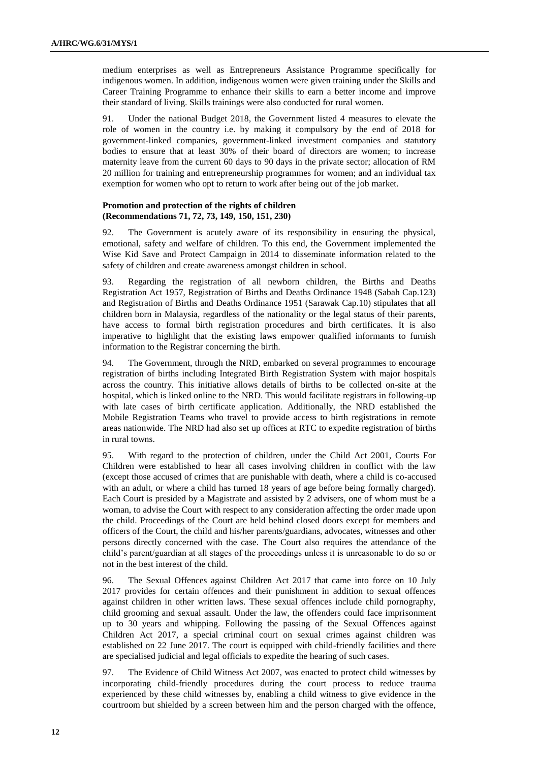medium enterprises as well as Entrepreneurs Assistance Programme specifically for indigenous women. In addition, indigenous women were given training under the Skills and Career Training Programme to enhance their skills to earn a better income and improve their standard of living. Skills trainings were also conducted for rural women.

91. Under the national Budget 2018, the Government listed 4 measures to elevate the role of women in the country i.e. by making it compulsory by the end of 2018 for government-linked companies, government-linked investment companies and statutory bodies to ensure that at least 30% of their board of directors are women; to increase maternity leave from the current 60 days to 90 days in the private sector; allocation of RM 20 million for training and entrepreneurship programmes for women; and an individual tax exemption for women who opt to return to work after being out of the job market.

### **Promotion and protection of the rights of children (Recommendations 71, 72, 73, 149, 150, 151, 230)**

92. The Government is acutely aware of its responsibility in ensuring the physical, emotional, safety and welfare of children. To this end, the Government implemented the Wise Kid Save and Protect Campaign in 2014 to disseminate information related to the safety of children and create awareness amongst children in school.

93. Regarding the registration of all newborn children, the Births and Deaths Registration Act 1957, Registration of Births and Deaths Ordinance 1948 (Sabah Cap.123) and Registration of Births and Deaths Ordinance 1951 (Sarawak Cap.10) stipulates that all children born in Malaysia, regardless of the nationality or the legal status of their parents, have access to formal birth registration procedures and birth certificates. It is also imperative to highlight that the existing laws empower qualified informants to furnish information to the Registrar concerning the birth.

94. The Government, through the NRD, embarked on several programmes to encourage registration of births including Integrated Birth Registration System with major hospitals across the country. This initiative allows details of births to be collected on-site at the hospital, which is linked online to the NRD. This would facilitate registrars in following-up with late cases of birth certificate application. Additionally, the NRD established the Mobile Registration Teams who travel to provide access to birth registrations in remote areas nationwide. The NRD had also set up offices at RTC to expedite registration of births in rural towns.

95. With regard to the protection of children, under the Child Act 2001, Courts For Children were established to hear all cases involving children in conflict with the law (except those accused of crimes that are punishable with death, where a child is co-accused with an adult, or where a child has turned 18 years of age before being formally charged). Each Court is presided by a Magistrate and assisted by 2 advisers, one of whom must be a woman, to advise the Court with respect to any consideration affecting the order made upon the child. Proceedings of the Court are held behind closed doors except for members and officers of the Court, the child and his/her parents/guardians, advocates, witnesses and other persons directly concerned with the case. The Court also requires the attendance of the child's parent/guardian at all stages of the proceedings unless it is unreasonable to do so or not in the best interest of the child.

96. The Sexual Offences against Children Act 2017 that came into force on 10 July 2017 provides for certain offences and their punishment in addition to sexual offences against children in other written laws. These sexual offences include child pornography, child grooming and sexual assault. Under the law, the offenders could face imprisonment up to 30 years and whipping. Following the passing of the Sexual Offences against Children Act 2017, a special criminal court on sexual crimes against children was established on 22 June 2017. The court is equipped with child-friendly facilities and there are specialised judicial and legal officials to expedite the hearing of such cases.

97. The Evidence of Child Witness Act 2007, was enacted to protect child witnesses by incorporating child-friendly procedures during the court process to reduce trauma experienced by these child witnesses by, enabling a child witness to give evidence in the courtroom but shielded by a screen between him and the person charged with the offence,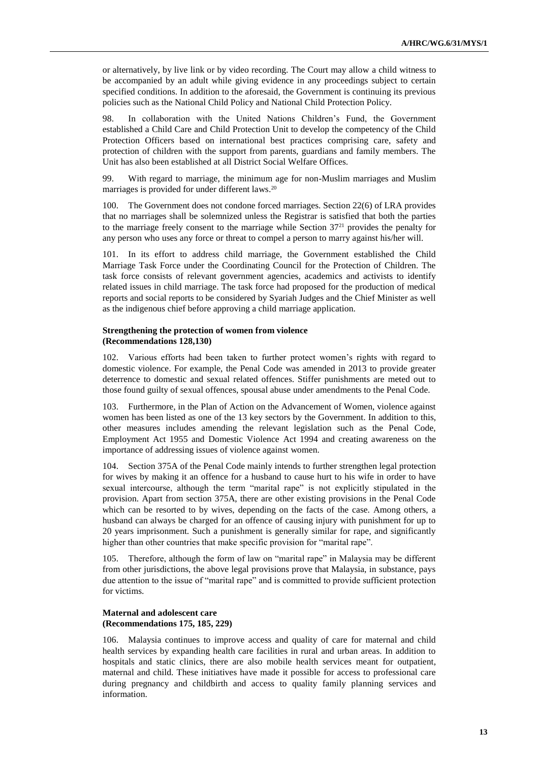or alternatively, by live link or by video recording. The Court may allow a child witness to be accompanied by an adult while giving evidence in any proceedings subject to certain specified conditions. In addition to the aforesaid, the Government is continuing its previous policies such as the National Child Policy and National Child Protection Policy.

98. In collaboration with the United Nations Children's Fund, the Government established a Child Care and Child Protection Unit to develop the competency of the Child Protection Officers based on international best practices comprising care, safety and protection of children with the support from parents, guardians and family members. The Unit has also been established at all District Social Welfare Offices.

99. With regard to marriage, the minimum age for non-Muslim marriages and Muslim marriages is provided for under different laws. 20

100. The Government does not condone forced marriages. Section 22(6) of LRA provides that no marriages shall be solemnized unless the Registrar is satisfied that both the parties to the marriage freely consent to the marriage while Section 37<sup>21</sup> provides the penalty for any person who uses any force or threat to compel a person to marry against his/her will.

101. In its effort to address child marriage, the Government established the Child Marriage Task Force under the Coordinating Council for the Protection of Children. The task force consists of relevant government agencies, academics and activists to identify related issues in child marriage. The task force had proposed for the production of medical reports and social reports to be considered by Syariah Judges and the Chief Minister as well as the indigenous chief before approving a child marriage application.

#### **Strengthening the protection of women from violence (Recommendations 128,130)**

102. Various efforts had been taken to further protect women's rights with regard to domestic violence. For example, the Penal Code was amended in 2013 to provide greater deterrence to domestic and sexual related offences. Stiffer punishments are meted out to those found guilty of sexual offences, spousal abuse under amendments to the Penal Code.

Furthermore, in the Plan of Action on the Advancement of Women, violence against women has been listed as one of the 13 key sectors by the Government. In addition to this, other measures includes amending the relevant legislation such as the Penal Code, Employment Act 1955 and Domestic Violence Act 1994 and creating awareness on the importance of addressing issues of violence against women.

104. Section 375A of the Penal Code mainly intends to further strengthen legal protection for wives by making it an offence for a husband to cause hurt to his wife in order to have sexual intercourse, although the term "marital rape" is not explicitly stipulated in the provision. Apart from section 375A, there are other existing provisions in the Penal Code which can be resorted to by wives, depending on the facts of the case. Among others, a husband can always be charged for an offence of causing injury with punishment for up to 20 years imprisonment. Such a punishment is generally similar for rape, and significantly higher than other countries that make specific provision for "marital rape".

Therefore, although the form of law on "marital rape" in Malaysia may be different from other jurisdictions, the above legal provisions prove that Malaysia, in substance, pays due attention to the issue of "marital rape" and is committed to provide sufficient protection for victims.

# **Maternal and adolescent care (Recommendations 175, 185, 229)**

106. Malaysia continues to improve access and quality of care for maternal and child health services by expanding health care facilities in rural and urban areas. In addition to hospitals and static clinics, there are also mobile health services meant for outpatient, maternal and child. These initiatives have made it possible for access to professional care during pregnancy and childbirth and access to quality family planning services and information.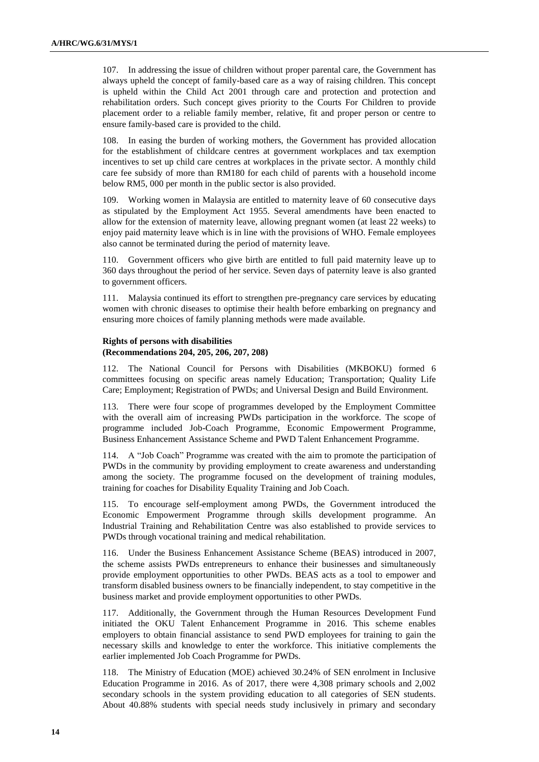107. In addressing the issue of children without proper parental care, the Government has always upheld the concept of family-based care as a way of raising children. This concept is upheld within the Child Act 2001 through care and protection and protection and rehabilitation orders. Such concept gives priority to the Courts For Children to provide placement order to a reliable family member, relative, fit and proper person or centre to ensure family-based care is provided to the child.

108. In easing the burden of working mothers, the Government has provided allocation for the establishment of childcare centres at government workplaces and tax exemption incentives to set up child care centres at workplaces in the private sector. A monthly child care fee subsidy of more than RM180 for each child of parents with a household income below RM5, 000 per month in the public sector is also provided.

109. Working women in Malaysia are entitled to maternity leave of 60 consecutive days as stipulated by the Employment Act 1955. Several amendments have been enacted to allow for the extension of maternity leave, allowing pregnant women (at least 22 weeks) to enjoy paid maternity leave which is in line with the provisions of WHO. Female employees also cannot be terminated during the period of maternity leave.

110. Government officers who give birth are entitled to full paid maternity leave up to 360 days throughout the period of her service. Seven days of paternity leave is also granted to government officers.

111. Malaysia continued its effort to strengthen pre-pregnancy care services by educating women with chronic diseases to optimise their health before embarking on pregnancy and ensuring more choices of family planning methods were made available.

## **Rights of persons with disabilities (Recommendations 204, 205, 206, 207, 208)**

112. The National Council for Persons with Disabilities (MKBOKU) formed 6 committees focusing on specific areas namely Education; Transportation; Quality Life Care; Employment; Registration of PWDs; and Universal Design and Build Environment.

113. There were four scope of programmes developed by the Employment Committee with the overall aim of increasing PWDs participation in the workforce. The scope of programme included Job-Coach Programme, Economic Empowerment Programme, Business Enhancement Assistance Scheme and PWD Talent Enhancement Programme.

114. A "Job Coach" Programme was created with the aim to promote the participation of PWDs in the community by providing employment to create awareness and understanding among the society. The programme focused on the development of training modules, training for coaches for Disability Equality Training and Job Coach.

115. To encourage self-employment among PWDs, the Government introduced the Economic Empowerment Programme through skills development programme. An Industrial Training and Rehabilitation Centre was also established to provide services to PWDs through vocational training and medical rehabilitation.

116. Under the Business Enhancement Assistance Scheme (BEAS) introduced in 2007, the scheme assists PWDs entrepreneurs to enhance their businesses and simultaneously provide employment opportunities to other PWDs. BEAS acts as a tool to empower and transform disabled business owners to be financially independent, to stay competitive in the business market and provide employment opportunities to other PWDs.

117. Additionally, the Government through the Human Resources Development Fund initiated the OKU Talent Enhancement Programme in 2016. This scheme enables employers to obtain financial assistance to send PWD employees for training to gain the necessary skills and knowledge to enter the workforce. This initiative complements the earlier implemented Job Coach Programme for PWDs.

118. The Ministry of Education (MOE) achieved 30.24% of SEN enrolment in Inclusive Education Programme in 2016. As of 2017, there were 4,308 primary schools and 2,002 secondary schools in the system providing education to all categories of SEN students. About 40.88% students with special needs study inclusively in primary and secondary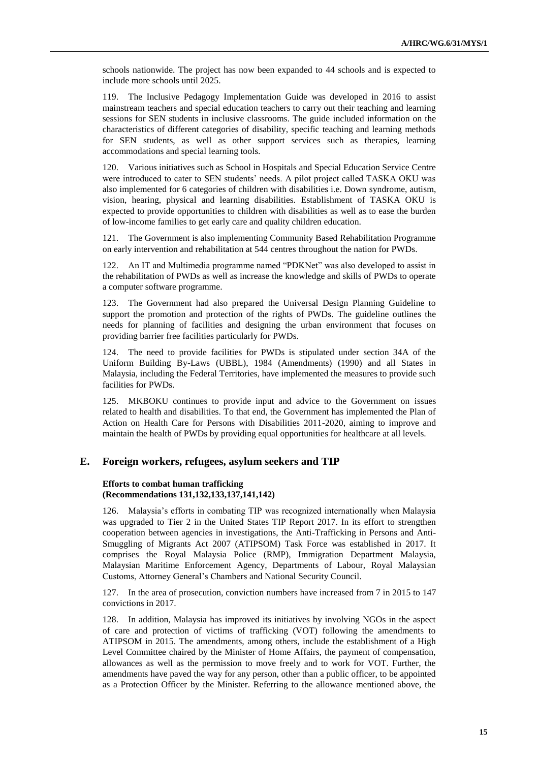schools nationwide. The project has now been expanded to 44 schools and is expected to include more schools until 2025.

119. The Inclusive Pedagogy Implementation Guide was developed in 2016 to assist mainstream teachers and special education teachers to carry out their teaching and learning sessions for SEN students in inclusive classrooms. The guide included information on the characteristics of different categories of disability, specific teaching and learning methods for SEN students, as well as other support services such as therapies, learning accommodations and special learning tools.

120. Various initiatives such as School in Hospitals and Special Education Service Centre were introduced to cater to SEN students' needs. A pilot project called TASKA OKU was also implemented for 6 categories of children with disabilities i.e. Down syndrome, autism, vision, hearing, physical and learning disabilities. Establishment of TASKA OKU is expected to provide opportunities to children with disabilities as well as to ease the burden of low-income families to get early care and quality children education.

121. The Government is also implementing Community Based Rehabilitation Programme on early intervention and rehabilitation at 544 centres throughout the nation for PWDs.

122. An IT and Multimedia programme named "PDKNet" was also developed to assist in the rehabilitation of PWDs as well as increase the knowledge and skills of PWDs to operate a computer software programme.

123. The Government had also prepared the Universal Design Planning Guideline to support the promotion and protection of the rights of PWDs. The guideline outlines the needs for planning of facilities and designing the urban environment that focuses on providing barrier free facilities particularly for PWDs.

124. The need to provide facilities for PWDs is stipulated under section 34A of the Uniform Building By-Laws (UBBL), 1984 (Amendments) (1990) and all States in Malaysia, including the Federal Territories, have implemented the measures to provide such facilities for PWDs.

125. MKBOKU continues to provide input and advice to the Government on issues related to health and disabilities. To that end, the Government has implemented the Plan of Action on Health Care for Persons with Disabilities 2011-2020, aiming to improve and maintain the health of PWDs by providing equal opportunities for healthcare at all levels.

# **E. Foreign workers, refugees, asylum seekers and TIP**

#### **Efforts to combat human trafficking (Recommendations 131,132,133,137,141,142)**

126. Malaysia's efforts in combating TIP was recognized internationally when Malaysia was upgraded to Tier 2 in the United States TIP Report 2017. In its effort to strengthen cooperation between agencies in investigations, the Anti-Trafficking in Persons and Anti-Smuggling of Migrants Act 2007 (ATIPSOM) Task Force was established in 2017. It comprises the Royal Malaysia Police (RMP), Immigration Department Malaysia, Malaysian Maritime Enforcement Agency, Departments of Labour, Royal Malaysian Customs, Attorney General's Chambers and National Security Council.

127. In the area of prosecution, conviction numbers have increased from 7 in 2015 to 147 convictions in 2017.

128. In addition, Malaysia has improved its initiatives by involving NGOs in the aspect of care and protection of victims of trafficking (VOT) following the amendments to ATIPSOM in 2015. The amendments, among others, include the establishment of a High Level Committee chaired by the Minister of Home Affairs, the payment of compensation, allowances as well as the permission to move freely and to work for VOT. Further, the amendments have paved the way for any person, other than a public officer, to be appointed as a Protection Officer by the Minister. Referring to the allowance mentioned above, the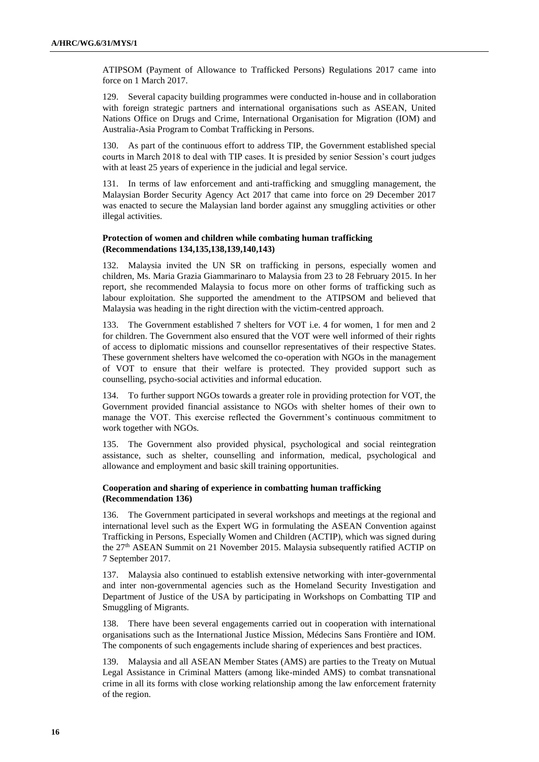ATIPSOM (Payment of Allowance to Trafficked Persons) Regulations 2017 came into force on 1 March 2017.

129. Several capacity building programmes were conducted in-house and in collaboration with foreign strategic partners and international organisations such as ASEAN, United Nations Office on Drugs and Crime, International Organisation for Migration (IOM) and Australia-Asia Program to Combat Trafficking in Persons.

130. As part of the continuous effort to address TIP, the Government established special courts in March 2018 to deal with TIP cases. It is presided by senior Session's court judges with at least 25 years of experience in the judicial and legal service.

131. In terms of law enforcement and anti-trafficking and smuggling management, the Malaysian Border Security Agency Act 2017 that came into force on 29 December 2017 was enacted to secure the Malaysian land border against any smuggling activities or other illegal activities.

#### **Protection of women and children while combating human trafficking (Recommendations 134,135,138,139,140,143)**

132. Malaysia invited the UN SR on trafficking in persons, especially women and children, Ms. Maria Grazia Giammarinaro to Malaysia from 23 to 28 February 2015. In her report, she recommended Malaysia to focus more on other forms of trafficking such as labour exploitation. She supported the amendment to the ATIPSOM and believed that Malaysia was heading in the right direction with the victim-centred approach.

133. The Government established 7 shelters for VOT i.e. 4 for women, 1 for men and 2 for children. The Government also ensured that the VOT were well informed of their rights of access to diplomatic missions and counsellor representatives of their respective States. These government shelters have welcomed the co-operation with NGOs in the management of VOT to ensure that their welfare is protected. They provided support such as counselling, psycho-social activities and informal education.

134. To further support NGOs towards a greater role in providing protection for VOT, the Government provided financial assistance to NGOs with shelter homes of their own to manage the VOT. This exercise reflected the Government's continuous commitment to work together with NGOs.

135. The Government also provided physical, psychological and social reintegration assistance, such as shelter, counselling and information, medical, psychological and allowance and employment and basic skill training opportunities.

## **Cooperation and sharing of experience in combatting human trafficking (Recommendation 136)**

136. The Government participated in several workshops and meetings at the regional and international level such as the Expert WG in formulating the ASEAN Convention against Trafficking in Persons, Especially Women and Children (ACTIP), which was signed during the 27th ASEAN Summit on 21 November 2015. Malaysia subsequently ratified ACTIP on 7 September 2017.

137. Malaysia also continued to establish extensive networking with inter-governmental and inter non-governmental agencies such as the Homeland Security Investigation and Department of Justice of the USA by participating in Workshops on Combatting TIP and Smuggling of Migrants.

138. There have been several engagements carried out in cooperation with international organisations such as the International Justice Mission, Médecins Sans Frontière and IOM. The components of such engagements include sharing of experiences and best practices.

139. Malaysia and all ASEAN Member States (AMS) are parties to the Treaty on Mutual Legal Assistance in Criminal Matters (among like-minded AMS) to combat transnational crime in all its forms with close working relationship among the law enforcement fraternity of the region.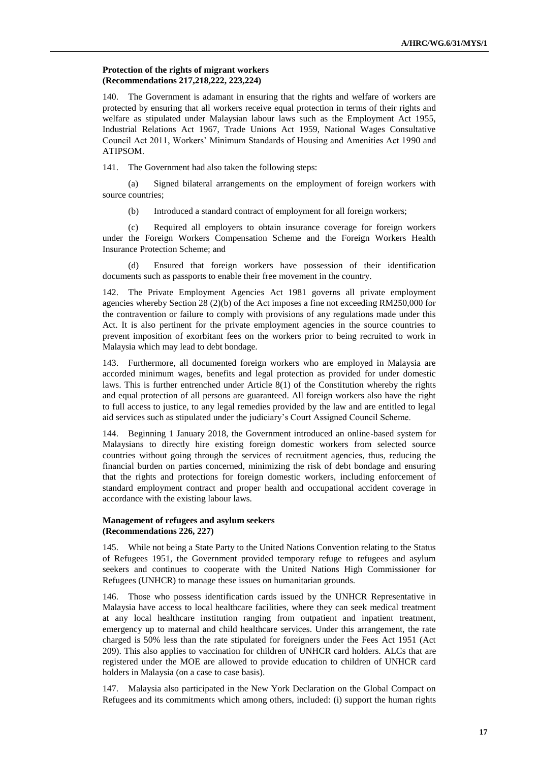#### **Protection of the rights of migrant workers (Recommendations 217,218,222, 223,224)**

140. The Government is adamant in ensuring that the rights and welfare of workers are protected by ensuring that all workers receive equal protection in terms of their rights and welfare as stipulated under Malaysian labour laws such as the Employment Act 1955, Industrial Relations Act 1967, Trade Unions Act 1959, National Wages Consultative Council Act 2011, Workers' Minimum Standards of Housing and Amenities Act 1990 and ATIPSOM.

141. The Government had also taken the following steps:

(a) Signed bilateral arrangements on the employment of foreign workers with source countries;

(b) Introduced a standard contract of employment for all foreign workers;

(c) Required all employers to obtain insurance coverage for foreign workers under the Foreign Workers Compensation Scheme and the Foreign Workers Health Insurance Protection Scheme; and

(d) Ensured that foreign workers have possession of their identification documents such as passports to enable their free movement in the country.

142. The Private Employment Agencies Act 1981 governs all private employment agencies whereby Section 28 (2)(b) of the Act imposes a fine not exceeding RM250,000 for the contravention or failure to comply with provisions of any regulations made under this Act. It is also pertinent for the private employment agencies in the source countries to prevent imposition of exorbitant fees on the workers prior to being recruited to work in Malaysia which may lead to debt bondage.

143. Furthermore, all documented foreign workers who are employed in Malaysia are accorded minimum wages, benefits and legal protection as provided for under domestic laws. This is further entrenched under Article 8(1) of the Constitution whereby the rights and equal protection of all persons are guaranteed. All foreign workers also have the right to full access to justice, to any legal remedies provided by the law and are entitled to legal aid services such as stipulated under the judiciary's Court Assigned Council Scheme.

144. Beginning 1 January 2018, the Government introduced an online-based system for Malaysians to directly hire existing foreign domestic workers from selected source countries without going through the services of recruitment agencies, thus, reducing the financial burden on parties concerned, minimizing the risk of debt bondage and ensuring that the rights and protections for foreign domestic workers, including enforcement of standard employment contract and proper health and occupational accident coverage in accordance with the existing labour laws.

## **Management of refugees and asylum seekers (Recommendations 226, 227)**

145. While not being a State Party to the United Nations Convention relating to the Status of Refugees 1951, the Government provided temporary refuge to refugees and asylum seekers and continues to cooperate with the United Nations High Commissioner for Refugees (UNHCR) to manage these issues on humanitarian grounds.

146. Those who possess identification cards issued by the UNHCR Representative in Malaysia have access to local healthcare facilities, where they can seek medical treatment at any local healthcare institution ranging from outpatient and inpatient treatment, emergency up to maternal and child healthcare services. Under this arrangement, the rate charged is 50% less than the rate stipulated for foreigners under the Fees Act 1951 (Act 209). This also applies to vaccination for children of UNHCR card holders. ALCs that are registered under the MOE are allowed to provide education to children of UNHCR card holders in Malaysia (on a case to case basis).

147. Malaysia also participated in the New York Declaration on the Global Compact on Refugees and its commitments which among others, included: (i) support the human rights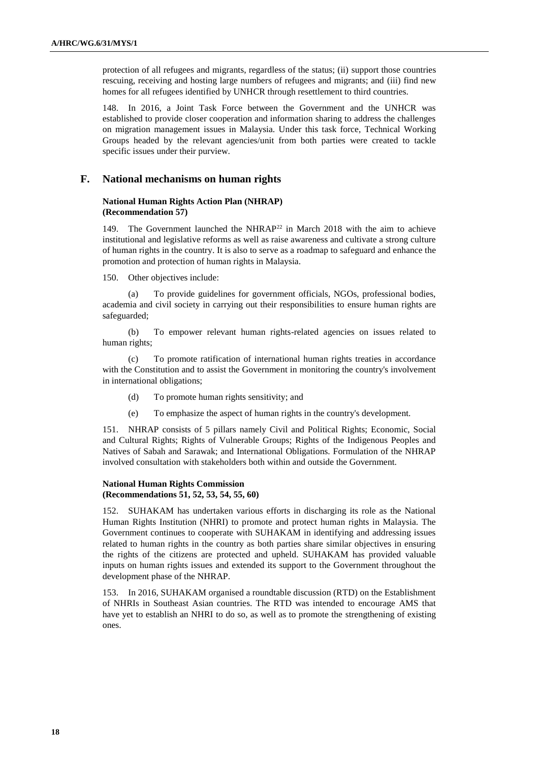protection of all refugees and migrants, regardless of the status; (ii) support those countries rescuing, receiving and hosting large numbers of refugees and migrants; and (iii) find new homes for all refugees identified by UNHCR through resettlement to third countries.

148. In 2016, a Joint Task Force between the Government and the UNHCR was established to provide closer cooperation and information sharing to address the challenges on migration management issues in Malaysia. Under this task force, Technical Working Groups headed by the relevant agencies/unit from both parties were created to tackle specific issues under their purview.

# **F. National mechanisms on human rights**

### **National Human Rights Action Plan (NHRAP) (Recommendation 57)**

149. The Government launched the NHRAP<sup>22</sup> in March 2018 with the aim to achieve institutional and legislative reforms as well as raise awareness and cultivate a strong culture of human rights in the country. It is also to serve as a roadmap to safeguard and enhance the promotion and protection of human rights in Malaysia.

150. Other objectives include:

(a) To provide guidelines for government officials, NGOs, professional bodies, academia and civil society in carrying out their responsibilities to ensure human rights are safeguarded;

(b) To empower relevant human rights-related agencies on issues related to human rights;

(c) To promote ratification of international human rights treaties in accordance with the Constitution and to assist the Government in monitoring the country's involvement in international obligations;

- (d) To promote human rights sensitivity; and
- (e) To emphasize the aspect of human rights in the country's development.

151. NHRAP consists of 5 pillars namely Civil and Political Rights; Economic, Social and Cultural Rights; Rights of Vulnerable Groups; Rights of the Indigenous Peoples and Natives of Sabah and Sarawak; and International Obligations. Formulation of the NHRAP involved consultation with stakeholders both within and outside the Government.

# **National Human Rights Commission (Recommendations 51, 52, 53, 54, 55, 60)**

152. SUHAKAM has undertaken various efforts in discharging its role as the National Human Rights Institution (NHRI) to promote and protect human rights in Malaysia. The Government continues to cooperate with SUHAKAM in identifying and addressing issues related to human rights in the country as both parties share similar objectives in ensuring the rights of the citizens are protected and upheld. SUHAKAM has provided valuable inputs on human rights issues and extended its support to the Government throughout the development phase of the NHRAP.

153. In 2016, SUHAKAM organised a roundtable discussion (RTD) on the Establishment of NHRIs in Southeast Asian countries. The RTD was intended to encourage AMS that have yet to establish an NHRI to do so, as well as to promote the strengthening of existing ones.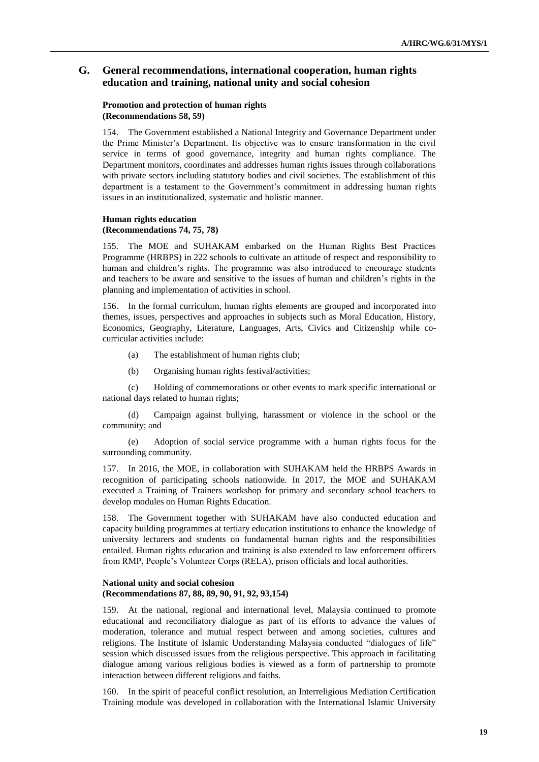# **G. General recommendations, international cooperation, human rights education and training, national unity and social cohesion**

## **Promotion and protection of human rights (Recommendations 58, 59)**

The Government established a National Integrity and Governance Department under the Prime Minister's Department. Its objective was to ensure transformation in the civil service in terms of good governance, integrity and human rights compliance. The Department monitors, coordinates and addresses human rights issues through collaborations with private sectors including statutory bodies and civil societies. The establishment of this department is a testament to the Government's commitment in addressing human rights issues in an institutionalized, systematic and holistic manner.

### **Human rights education (Recommendations 74, 75, 78)**

155. The MOE and SUHAKAM embarked on the Human Rights Best Practices Programme (HRBPS) in 222 schools to cultivate an attitude of respect and responsibility to human and children's rights. The programme was also introduced to encourage students and teachers to be aware and sensitive to the issues of human and children's rights in the planning and implementation of activities in school.

156. In the formal curriculum, human rights elements are grouped and incorporated into themes, issues, perspectives and approaches in subjects such as Moral Education, History, Economics, Geography, Literature, Languages, Arts, Civics and Citizenship while cocurricular activities include:

- (a) The establishment of human rights club;
- (b) Organising human rights festival/activities;

(c) Holding of commemorations or other events to mark specific international or national days related to human rights;

(d) Campaign against bullying, harassment or violence in the school or the community; and

(e) Adoption of social service programme with a human rights focus for the surrounding community.

157. In 2016, the MOE, in collaboration with SUHAKAM held the HRBPS Awards in recognition of participating schools nationwide. In 2017, the MOE and SUHAKAM executed a Training of Trainers workshop for primary and secondary school teachers to develop modules on Human Rights Education.

The Government together with SUHAKAM have also conducted education and capacity building programmes at tertiary education institutions to enhance the knowledge of university lecturers and students on fundamental human rights and the responsibilities entailed. Human rights education and training is also extended to law enforcement officers from RMP, People's Volunteer Corps (RELA), prison officials and local authorities.

#### **National unity and social cohesion (Recommendations 87, 88, 89, 90, 91, 92, 93,154)**

159. At the national, regional and international level, Malaysia continued to promote educational and reconciliatory dialogue as part of its efforts to advance the values of moderation, tolerance and mutual respect between and among societies, cultures and religions. The Institute of Islamic Understanding Malaysia conducted "dialogues of life" session which discussed issues from the religious perspective. This approach in facilitating dialogue among various religious bodies is viewed as a form of partnership to promote interaction between different religions and faiths.

160. In the spirit of peaceful conflict resolution, an Interreligious Mediation Certification Training module was developed in collaboration with the International Islamic University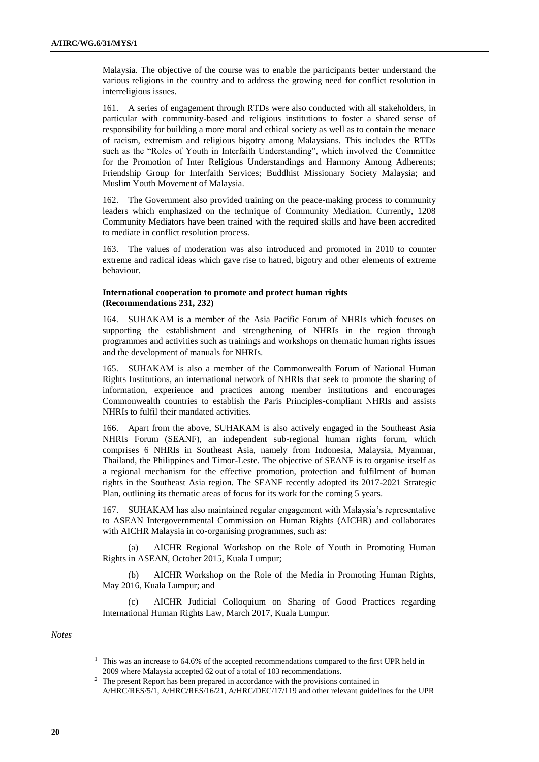Malaysia. The objective of the course was to enable the participants better understand the various religions in the country and to address the growing need for conflict resolution in interreligious issues.

161. A series of engagement through RTDs were also conducted with all stakeholders, in particular with community-based and religious institutions to foster a shared sense of responsibility for building a more moral and ethical society as well as to contain the menace of racism, extremism and religious bigotry among Malaysians. This includes the RTDs such as the "Roles of Youth in Interfaith Understanding", which involved the Committee for the Promotion of Inter Religious Understandings and Harmony Among Adherents; Friendship Group for Interfaith Services; Buddhist Missionary Society Malaysia; and Muslim Youth Movement of Malaysia.

162. The Government also provided training on the peace-making process to community leaders which emphasized on the technique of Community Mediation. Currently, 1208 Community Mediators have been trained with the required skills and have been accredited to mediate in conflict resolution process.

163. The values of moderation was also introduced and promoted in 2010 to counter extreme and radical ideas which gave rise to hatred, bigotry and other elements of extreme behaviour.

# **International cooperation to promote and protect human rights (Recommendations 231, 232)**

164. SUHAKAM is a member of the Asia Pacific Forum of NHRIs which focuses on supporting the establishment and strengthening of NHRIs in the region through programmes and activities such as trainings and workshops on thematic human rights issues and the development of manuals for NHRIs.

165. SUHAKAM is also a member of the Commonwealth Forum of National Human Rights Institutions, an international network of NHRIs that seek to promote the sharing of information, experience and practices among member institutions and encourages Commonwealth countries to establish the Paris Principles-compliant NHRIs and assists NHRIs to fulfil their mandated activities.

166. Apart from the above, SUHAKAM is also actively engaged in the Southeast Asia NHRIs Forum (SEANF), an independent sub-regional human rights forum, which comprises 6 NHRIs in Southeast Asia, namely from Indonesia, Malaysia, Myanmar, Thailand, the Philippines and Timor-Leste. The objective of SEANF is to organise itself as a regional mechanism for the effective promotion, protection and fulfilment of human rights in the Southeast Asia region. The SEANF recently adopted its 2017-2021 Strategic Plan, outlining its thematic areas of focus for its work for the coming 5 years.

167. SUHAKAM has also maintained regular engagement with Malaysia's representative to ASEAN Intergovernmental Commission on Human Rights (AICHR) and collaborates with AICHR Malaysia in co-organising programmes, such as:

AICHR Regional Workshop on the Role of Youth in Promoting Human Rights in ASEAN, October 2015, Kuala Lumpur;

(b) AICHR Workshop on the Role of the Media in Promoting Human Rights, May 2016, Kuala Lumpur; and

(c) AICHR Judicial Colloquium on Sharing of Good Practices regarding International Human Rights Law, March 2017, Kuala Lumpur.

*Notes*

<sup>&</sup>lt;sup>1</sup> This was an increase to 64.6% of the accepted recommendations compared to the first UPR held in 2009 where Malaysia accepted 62 out of a total of 103 recommendations.

<sup>&</sup>lt;sup>2</sup> The present Report has been prepared in accordance with the provisions contained in A/HRC/RES/5/1, A/HRC/RES/16/21, A/HRC/DEC/17/119 and other relevant guidelines for the UPR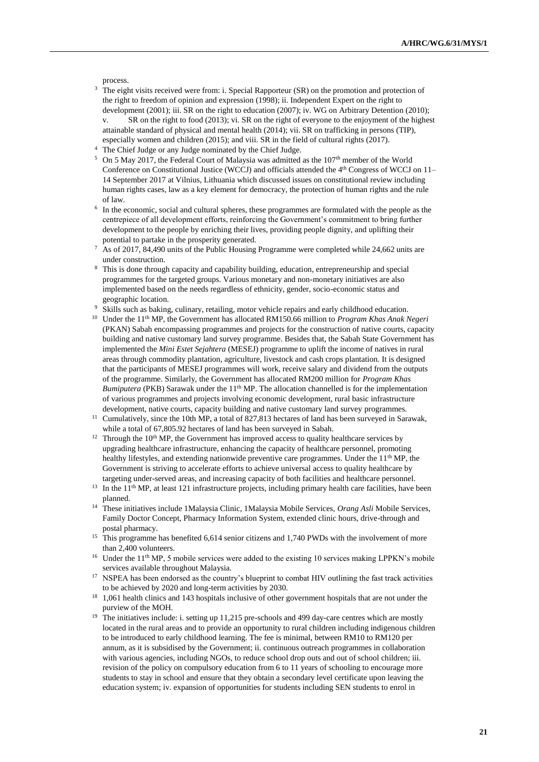process.

- The eight visits received were from: i. Special Rapporteur (SR) on the promotion and protection of the right to freedom of opinion and expression (1998); ii. Independent Expert on the right to development (2001); iii. SR on the right to education (2007); iv. WG on Arbitrary Detention (2010);
- v. SR on the right to food (2013); vi. SR on the right of everyone to the enjoyment of the highest attainable standard of physical and mental health (2014); vii. SR on trafficking in persons (TIP), especially women and children (2015); and viii. SR in the field of cultural rights (2017).
- <sup>4</sup> The Chief Judge or any Judge nominated by the Chief Judge.
- <sup>5</sup> On 5 May 2017, the Federal Court of Malaysia was admitted as the  $107<sup>th</sup>$  member of the World Conference on Constitutional Justice (WCCJ) and officials attended the 4<sup>th</sup> Congress of WCCJ on 11– 14 September 2017 at Vilnius, Lithuania which discussed issues on constitutional review including human rights cases, law as a key element for democracy, the protection of human rights and the rule of law.
- <sup>6</sup> In the economic, social and cultural spheres, these programmes are formulated with the people as the centrepiece of all development efforts, reinforcing the Government's commitment to bring further development to the people by enriching their lives, providing people dignity, and uplifting their potential to partake in the prosperity generated.
- <sup>7</sup> As of 2017, 84,490 units of the Public Housing Programme were completed while 24,662 units are under construction.
- <sup>8</sup> This is done through capacity and capability building, education, entrepreneurship and special programmes for the targeted groups. Various monetary and non-monetary initiatives are also implemented based on the needs regardless of ethnicity, gender, socio-economic status and geographic location.
- <sup>9</sup> Skills such as baking, culinary, retailing, motor vehicle repairs and early childhood education.
- <sup>10</sup> Under the 11<sup>th</sup> MP, the Government has allocated RM150.66 million to *Program Khas Anak Negeri* (PKAN) Sabah encompassing programmes and projects for the construction of native courts, capacity building and native customary land survey programme. Besides that, the Sabah State Government has implemented the *Mini Estet Sejahtera* (MESEJ) programme to uplift the income of natives in rural areas through commodity plantation, agriculture, livestock and cash crops plantation. It is designed that the participants of MESEJ programmes will work, receive salary and dividend from the outputs of the programme. Similarly, the Government has allocated RM200 million for *Program Khas Bumiputera* (PKB) Sarawak under the 11<sup>th</sup> MP. The allocation channelled is for the implementation of various programmes and projects involving economic development, rural basic infrastructure development, native courts, capacity building and native customary land survey programmes.
- <sup>11</sup> Cumulatively, since the 10th MP, a total of 827,813 hectares of land has been surveyed in Sarawak, while a total of 67,805.92 hectares of land has been surveyed in Sabah.
- $12$  Through the 10<sup>th</sup> MP, the Government has improved access to quality healthcare services by upgrading healthcare infrastructure, enhancing the capacity of healthcare personnel, promoting healthy lifestyles, and extending nationwide preventive care programmes. Under the 11<sup>th</sup> MP, the Government is striving to accelerate efforts to achieve universal access to quality healthcare by targeting under-served areas, and increasing capacity of both facilities and healthcare personnel.
- <sup>13</sup> In the 11<sup>th</sup> MP, at least 121 infrastructure projects, including primary health care facilities, have been planned.
- <sup>14</sup> These initiatives include 1Malaysia Clinic, 1Malaysia Mobile Services, *Orang Asli* Mobile Services, Family Doctor Concept, Pharmacy Information System, extended clinic hours, drive-through and postal pharmacy.
- <sup>15</sup> This programme has benefited 6,614 senior citizens and 1,740 PWDs with the involvement of more than 2,400 volunteers.
- <sup>16</sup> Under the 11<sup>th</sup> MP, 5 mobile services were added to the existing 10 services making LPPKN's mobile services available throughout Malaysia.
- <sup>17</sup> NSPEA has been endorsed as the country's blueprint to combat HIV outlining the fast track activities to be achieved by 2020 and long-term activities by 2030.
- <sup>18</sup> 1,061 health clinics and 143 hospitals inclusive of other government hospitals that are not under the purview of the MOH.
- <sup>19</sup> The initiatives include: i. setting up 11,215 pre-schools and 499 day-care centres which are mostly located in the rural areas and to provide an opportunity to rural children including indigenous children to be introduced to early childhood learning. The fee is minimal, between RM10 to RM120 per annum, as it is subsidised by the Government; ii. continuous outreach programmes in collaboration with various agencies, including NGOs, to reduce school drop outs and out of school children; iii. revision of the policy on compulsory education from 6 to 11 years of schooling to encourage more students to stay in school and ensure that they obtain a secondary level certificate upon leaving the education system; iv. expansion of opportunities for students including SEN students to enrol in